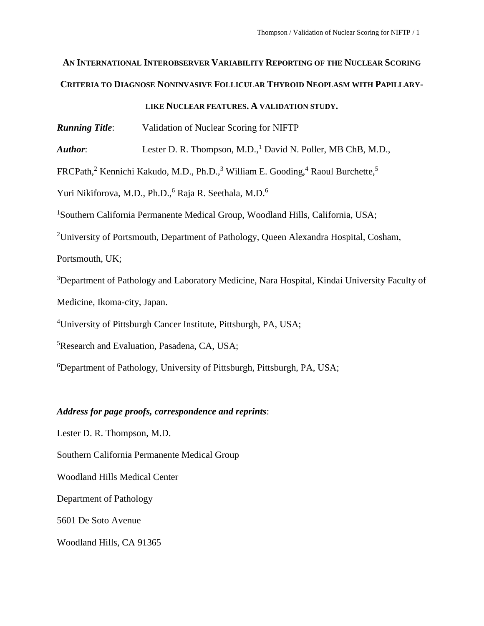# **AN INTERNATIONAL INTEROBSERVER VARIABILITY REPORTING OF THE NUCLEAR SCORING CRITERIA TO DIAGNOSE NONINVASIVE FOLLICULAR THYROID NEOPLASM WITH PAPILLARY-**

**LIKE NUCLEAR FEATURES. A VALIDATION STUDY.**

*Running Title*: Validation of Nuclear Scoring for NIFTP

*Author*: Lester D. R. Thompson, M.D.,<sup>1</sup> David N. Poller, MB ChB, M.D.,

FRCPath,<sup>2</sup> Kennichi Kakudo, M.D., Ph.D.,<sup>3</sup> William E. Gooding,<sup>4</sup> Raoul Burchette,<sup>5</sup>

Yuri Nikiforova, M.D., Ph.D., <sup>6</sup> Raja R. Seethala, M.D.<sup>6</sup>

<sup>1</sup>Southern California Permanente Medical Group, Woodland Hills, California, USA;

<sup>2</sup>University of Portsmouth, Department of Pathology, Queen Alexandra Hospital, Cosham,

Portsmouth, UK;

<sup>3</sup>Department of Pathology and Laboratory Medicine, Nara Hospital, Kindai University Faculty of Medicine, Ikoma-city, Japan.

<sup>4</sup>University of Pittsburgh Cancer Institute, Pittsburgh, PA, USA;

<sup>5</sup>Research and Evaluation, Pasadena, CA, USA;

<sup>6</sup>Department of Pathology, University of Pittsburgh, Pittsburgh, PA, USA;

### *Address for page proofs, correspondence and reprints*:

Lester D. R. Thompson, M.D. Southern California Permanente Medical Group Woodland Hills Medical Center Department of Pathology 5601 De Soto Avenue Woodland Hills, CA 91365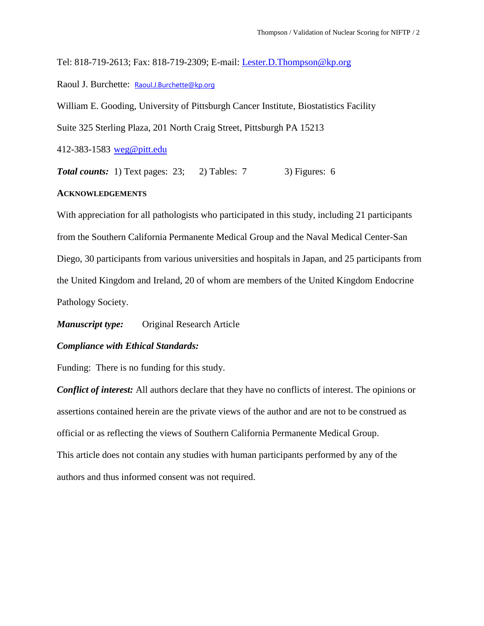Tel: 818-719-2613; Fax: 818-719-2309; E-mail: [Lester.D.Thompson@kp.org](mailto:Lester.D.Thompson@kp.org)

Raoul J. Burchette: [Raoul.J.Burchette@kp.org](mailto:Raoul.J.Burchette@kp.org)

William E. Gooding, University of Pittsburgh Cancer Institute, Biostatistics Facility

Suite 325 Sterling Plaza, 201 North Craig Street, Pittsburgh PA 15213

412-383-1583 [weg@pitt.edu](mailto:weg@pitt.edu)

**Total counts:** 1) Text pages: 23; 2) Tables: 7 3) Figures: 6

### **ACKNOWLEDGEMENTS**

With appreciation for all pathologists who participated in this study, including 21 participants from the Southern California Permanente Medical Group and the Naval Medical Center-San Diego, 30 participants from various universities and hospitals in Japan, and 25 participants from the United Kingdom and Ireland, 20 of whom are members of the United Kingdom Endocrine Pathology Society.

*Manuscript type:* Original Research Article

### *Compliance with Ethical Standards:*

Funding: There is no funding for this study.

*Conflict of interest:* All authors declare that they have no conflicts of interest. The opinions or assertions contained herein are the private views of the author and are not to be construed as official or as reflecting the views of Southern California Permanente Medical Group. This article does not contain any studies with human participants performed by any of the authors and thus informed consent was not required.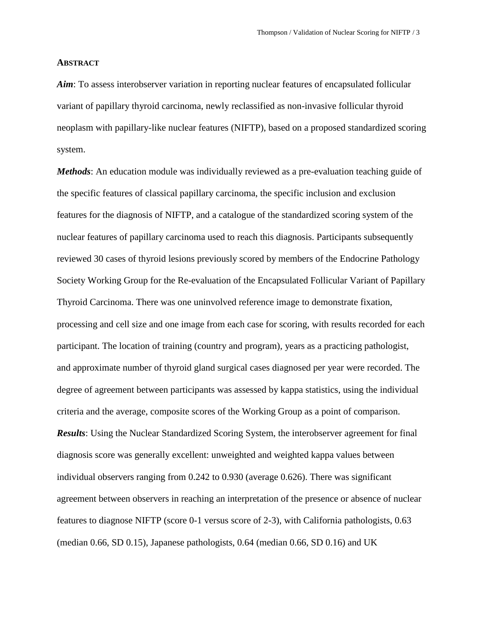#### **ABSTRACT**

*Aim*: To assess interobserver variation in reporting nuclear features of encapsulated follicular variant of papillary thyroid carcinoma, newly reclassified as non-invasive follicular thyroid neoplasm with papillary-like nuclear features (NIFTP), based on a proposed standardized scoring system.

*Methods*: An education module was individually reviewed as a pre-evaluation teaching guide of the specific features of classical papillary carcinoma, the specific inclusion and exclusion features for the diagnosis of NIFTP, and a catalogue of the standardized scoring system of the nuclear features of papillary carcinoma used to reach this diagnosis. Participants subsequently reviewed 30 cases of thyroid lesions previously scored by members of the Endocrine Pathology Society Working Group for the Re-evaluation of the Encapsulated Follicular Variant of Papillary Thyroid Carcinoma. There was one uninvolved reference image to demonstrate fixation, processing and cell size and one image from each case for scoring, with results recorded for each participant. The location of training (country and program), years as a practicing pathologist, and approximate number of thyroid gland surgical cases diagnosed per year were recorded. The degree of agreement between participants was assessed by kappa statistics, using the individual criteria and the average, composite scores of the Working Group as a point of comparison. *Results*: Using the Nuclear Standardized Scoring System, the interobserver agreement for final diagnosis score was generally excellent: unweighted and weighted kappa values between individual observers ranging from 0.242 to 0.930 (average 0.626). There was significant agreement between observers in reaching an interpretation of the presence or absence of nuclear features to diagnose NIFTP (score 0-1 versus score of 2-3), with California pathologists, 0.63 (median 0.66, SD 0.15), Japanese pathologists, 0.64 (median 0.66, SD 0.16) and UK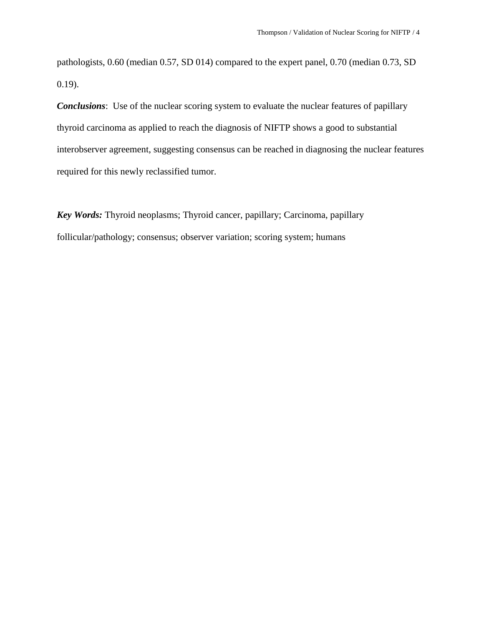pathologists, 0.60 (median 0.57, SD 014) compared to the expert panel, 0.70 (median 0.73, SD 0.19).

*Conclusions*: Use of the nuclear scoring system to evaluate the nuclear features of papillary thyroid carcinoma as applied to reach the diagnosis of NIFTP shows a good to substantial interobserver agreement, suggesting consensus can be reached in diagnosing the nuclear features required for this newly reclassified tumor.

*Key Words:* Thyroid neoplasms; Thyroid cancer, papillary; Carcinoma, papillary follicular/pathology; consensus; observer variation; scoring system; humans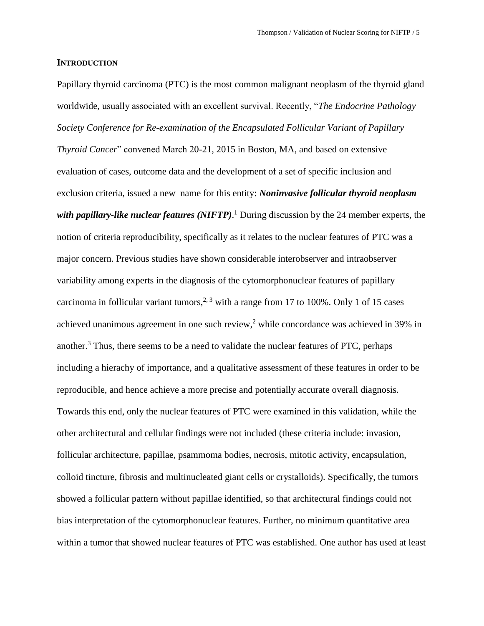#### **INTRODUCTION**

Papillary thyroid carcinoma (PTC) is the most common malignant neoplasm of the thyroid gland worldwide, usually associated with an excellent survival. Recently, "*The Endocrine Pathology Society Conference for Re-examination of the Encapsulated Follicular Variant of Papillary Thyroid Cancer*" convened March 20-21, 2015 in Boston, MA, and based on extensive evaluation of cases, outcome data and the development of a set of specific inclusion and exclusion criteria, issued a new name for this entity: *Noninvasive follicular thyroid neoplasm*  with *papillary-like nuclear features* (NIFTP).<sup>1</sup> During discussion by the 24 member experts, the notion of criteria reproducibility, specifically as it relates to the nuclear features of PTC was a major concern. Previous studies have shown considerable interobserver and intraobserver variability among experts in the diagnosis of the cytomorphonuclear features of papillary carcinoma in follicular variant tumors,<sup>[2,](#page-13-0) [3](#page-13-1)</sup> with a range from 17 to 100%. Only 1 of 15 cases achieved unanimous agreement in one such review,<sup>2</sup> while concordance was achieved in 39% in another.<sup>3</sup> Thus, there seems to be a need to validate the nuclear features of PTC, perhaps including a hierachy of importance, and a qualitative assessment of these features in order to be reproducible, and hence achieve a more precise and potentially accurate overall diagnosis. Towards this end, only the nuclear features of PTC were examined in this validation, while the other architectural and cellular findings were not included (these criteria include: invasion, follicular architecture, papillae, psammoma bodies, necrosis, mitotic activity, encapsulation, colloid tincture, fibrosis and multinucleated giant cells or crystalloids). Specifically, the tumors showed a follicular pattern without papillae identified, so that architectural findings could not bias interpretation of the cytomorphonuclear features. Further, no minimum quantitative area within a tumor that showed nuclear features of PTC was established. One author has used at least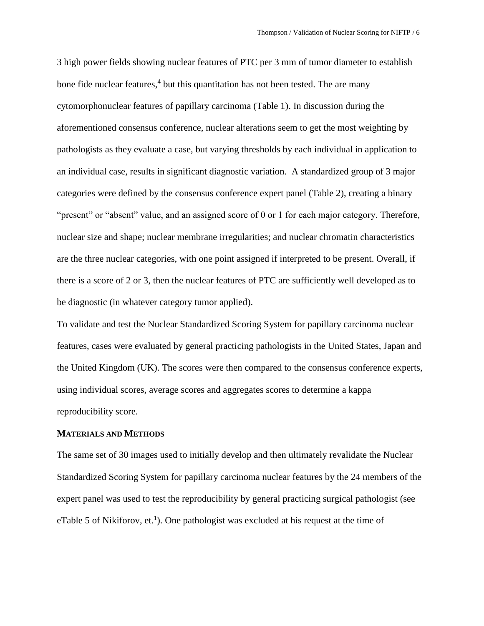3 high power fields showing nuclear features of PTC per 3 mm of tumor diameter to establish bone fide nuclear features,<sup>4</sup> but this quantitation has not been tested. The are many cytomorphonuclear features of papillary carcinoma (Table 1). In discussion during the aforementioned consensus conference, nuclear alterations seem to get the most weighting by pathologists as they evaluate a case, but varying thresholds by each individual in application to an individual case, results in significant diagnostic variation. A standardized group of 3 major categories were defined by the consensus conference expert panel (Table 2), creating a binary "present" or "absent" value, and an assigned score of 0 or 1 for each major category. Therefore, nuclear size and shape; nuclear membrane irregularities; and nuclear chromatin characteristics are the three nuclear categories, with one point assigned if interpreted to be present. Overall, if there is a score of 2 or 3, then the nuclear features of PTC are sufficiently well developed as to be diagnostic (in whatever category tumor applied).

To validate and test the Nuclear Standardized Scoring System for papillary carcinoma nuclear features, cases were evaluated by general practicing pathologists in the United States, Japan and the United Kingdom (UK). The scores were then compared to the consensus conference experts, using individual scores, average scores and aggregates scores to determine a kappa reproducibility score.

#### **MATERIALS AND METHODS**

The same set of 30 images used to initially develop and then ultimately revalidate the Nuclear Standardized Scoring System for papillary carcinoma nuclear features by the 24 members of the expert panel was used to test the reproducibility by general practicing surgical pathologist (see eTable 5 of Nikiforov,  $et.$ <sup>1</sup>). One pathologist was excluded at his request at the time of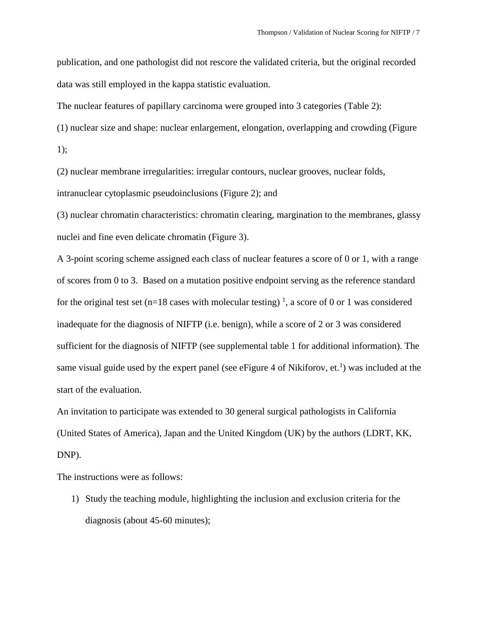publication, and one pathologist did not rescore the validated criteria, but the original recorded data was still employed in the kappa statistic evaluation.

The nuclear features of papillary carcinoma were grouped into 3 categories (Table 2):

(1) nuclear size and shape: nuclear enlargement, elongation, overlapping and crowding (Figure

1);

(2) nuclear membrane irregularities: irregular contours, nuclear grooves, nuclear folds, intranuclear cytoplasmic pseudoinclusions (Figure 2); and

(3) nuclear chromatin characteristics: chromatin clearing, margination to the membranes, glassy nuclei and fine even delicate chromatin (Figure 3).

A 3-point scoring scheme assigned each class of nuclear features a score of 0 or 1, with a range of scores from 0 to 3. Based on a mutation positive endpoint serving as the reference standard for the original test set (n=18 cases with molecular testing)<sup>1</sup>, a score of 0 or 1 was considered inadequate for the diagnosis of NIFTP (i.e. benign), while a score of 2 or 3 was considered sufficient for the diagnosis of NIFTP (see supplemental table 1 for additional information). The same visual guide used by the expert panel (see eFigure 4 of Nikiforov,  $et.$ <sup>1</sup>) was included at the start of the evaluation.

An invitation to participate was extended to 30 general surgical pathologists in California (United States of America), Japan and the United Kingdom (UK) by the authors (LDRT, KK, DNP).

The instructions were as follows:

1) Study the teaching module, highlighting the inclusion and exclusion criteria for the diagnosis (about 45-60 minutes);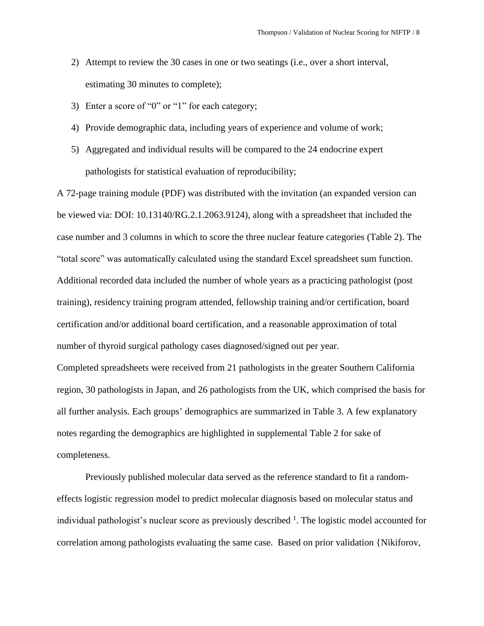- 2) Attempt to review the 30 cases in one or two seatings (i.e., over a short interval, estimating 30 minutes to complete);
- 3) Enter a score of "0" or "1" for each category;
- 4) Provide demographic data, including years of experience and volume of work;
- 5) Aggregated and individual results will be compared to the 24 endocrine expert pathologists for statistical evaluation of reproducibility;

A 72-page training module (PDF) was distributed with the invitation (an expanded version can be viewed via: DOI: 10.13140/RG.2.1.2063.9124), along with a spreadsheet that included the case number and 3 columns in which to score the three nuclear feature categories (Table 2). The "total score" was automatically calculated using the standard Excel spreadsheet sum function. Additional recorded data included the number of whole years as a practicing pathologist (post training), residency training program attended, fellowship training and/or certification, board certification and/or additional board certification, and a reasonable approximation of total number of thyroid surgical pathology cases diagnosed/signed out per year.

Completed spreadsheets were received from 21 pathologists in the greater Southern California region, 30 pathologists in Japan, and 26 pathologists from the UK, which comprised the basis for all further analysis. Each groups' demographics are summarized in Table 3. A few explanatory notes regarding the demographics are highlighted in supplemental Table 2 for sake of completeness.

Previously published molecular data served as the reference standard to fit a randomeffects logistic regression model to predict molecular diagnosis based on molecular status and individual pathologist's nuclear score as previously described  $<sup>1</sup>$ . The logistic model accounted for</sup> correlation among pathologists evaluating the same case. Based on prior validation {Nikiforov,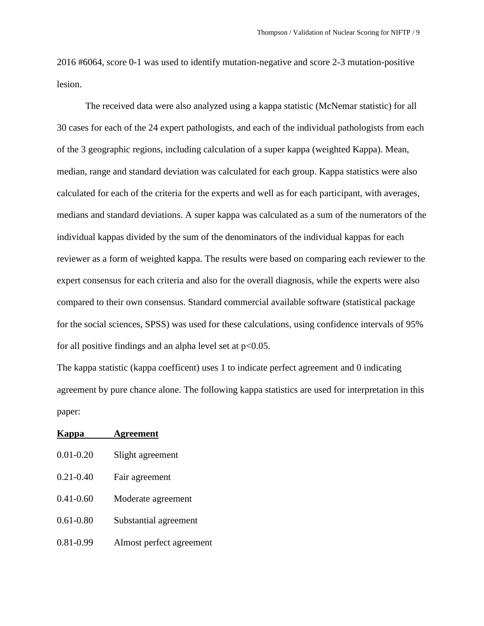2016 #6064, score 0-1 was used to identify mutation-negative and score 2-3 mutation-positive lesion.

The received data were also analyzed using a kappa statistic (McNemar statistic) for all 30 cases for each of the 24 expert pathologists, and each of the individual pathologists from each of the 3 geographic regions, including calculation of a super kappa (weighted Kappa). Mean, median, range and standard deviation was calculated for each group. Kappa statistics were also calculated for each of the criteria for the experts and well as for each participant, with averages, medians and standard deviations. A super kappa was calculated as a sum of the numerators of the individual kappas divided by the sum of the denominators of the individual kappas for each reviewer as a form of weighted kappa. The results were based on comparing each reviewer to the expert consensus for each criteria and also for the overall diagnosis, while the experts were also compared to their own consensus. Standard commercial available software (statistical package for the social sciences, SPSS) was used for these calculations, using confidence intervals of 95% for all positive findings and an alpha level set at  $p<0.05$ .

The kappa statistic (kappa coefficent) uses 1 to indicate perfect agreement and 0 indicating agreement by pure chance alone. The following kappa statistics are used for interpretation in this paper:

| Kappa         | <b>Agreement</b>         |
|---------------|--------------------------|
| $0.01 - 0.20$ | Slight agreement         |
| $0.21 - 0.40$ | Fair agreement           |
| $0.41 - 0.60$ | Moderate agreement       |
| $0.61 - 0.80$ | Substantial agreement    |
| $0.81 - 0.99$ | Almost perfect agreement |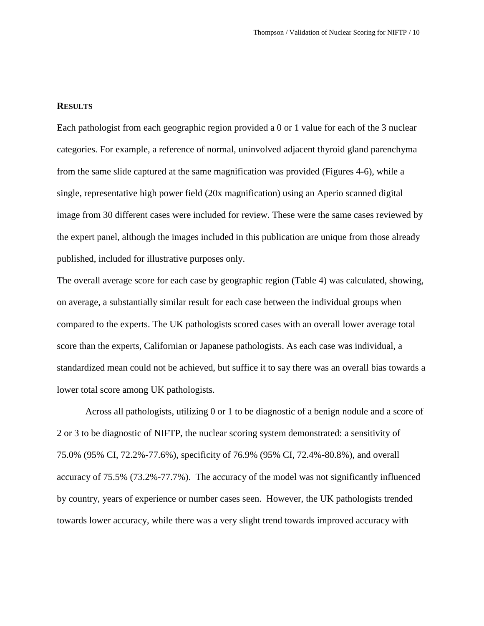#### **RESULTS**

Each pathologist from each geographic region provided a 0 or 1 value for each of the 3 nuclear categories. For example, a reference of normal, uninvolved adjacent thyroid gland parenchyma from the same slide captured at the same magnification was provided (Figures 4-6), while a single, representative high power field (20x magnification) using an Aperio scanned digital image from 30 different cases were included for review. These were the same cases reviewed by the expert panel, although the images included in this publication are unique from those already published, included for illustrative purposes only.

The overall average score for each case by geographic region (Table 4) was calculated, showing, on average, a substantially similar result for each case between the individual groups when compared to the experts. The UK pathologists scored cases with an overall lower average total score than the experts, Californian or Japanese pathologists. As each case was individual, a standardized mean could not be achieved, but suffice it to say there was an overall bias towards a lower total score among UK pathologists.

Across all pathologists, utilizing 0 or 1 to be diagnostic of a benign nodule and a score of 2 or 3 to be diagnostic of NIFTP, the nuclear scoring system demonstrated: a sensitivity of 75.0% (95% CI, 72.2%-77.6%), specificity of 76.9% (95% CI, 72.4%-80.8%), and overall accuracy of 75.5% (73.2%-77.7%). The accuracy of the model was not significantly influenced by country, years of experience or number cases seen. However, the UK pathologists trended towards lower accuracy, while there was a very slight trend towards improved accuracy with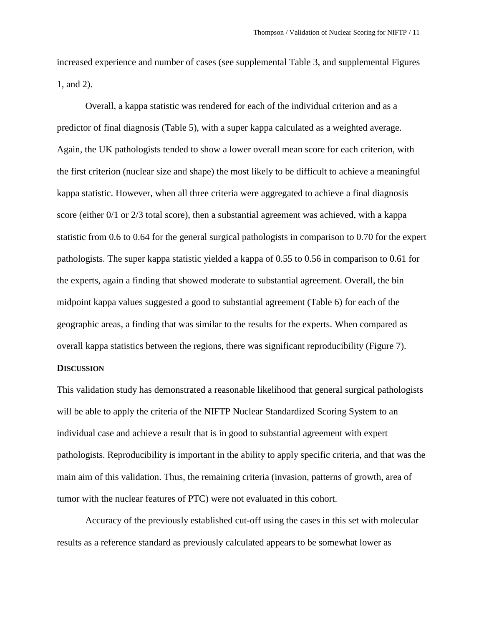increased experience and number of cases (see supplemental Table 3, and supplemental Figures 1, and 2).

Overall, a kappa statistic was rendered for each of the individual criterion and as a predictor of final diagnosis (Table 5), with a super kappa calculated as a weighted average. Again, the UK pathologists tended to show a lower overall mean score for each criterion, with the first criterion (nuclear size and shape) the most likely to be difficult to achieve a meaningful kappa statistic. However, when all three criteria were aggregated to achieve a final diagnosis score (either 0/1 or 2/3 total score), then a substantial agreement was achieved, with a kappa statistic from 0.6 to 0.64 for the general surgical pathologists in comparison to 0.70 for the expert pathologists. The super kappa statistic yielded a kappa of 0.55 to 0.56 in comparison to 0.61 for the experts, again a finding that showed moderate to substantial agreement. Overall, the bin midpoint kappa values suggested a good to substantial agreement (Table 6) for each of the geographic areas, a finding that was similar to the results for the experts. When compared as overall kappa statistics between the regions, there was significant reproducibility (Figure 7).

### **DISCUSSION**

This validation study has demonstrated a reasonable likelihood that general surgical pathologists will be able to apply the criteria of the NIFTP Nuclear Standardized Scoring System to an individual case and achieve a result that is in good to substantial agreement with expert pathologists. Reproducibility is important in the ability to apply specific criteria, and that was the main aim of this validation. Thus, the remaining criteria (invasion, patterns of growth, area of tumor with the nuclear features of PTC) were not evaluated in this cohort.

Accuracy of the previously established cut-off using the cases in this set with molecular results as a reference standard as previously calculated appears to be somewhat lower as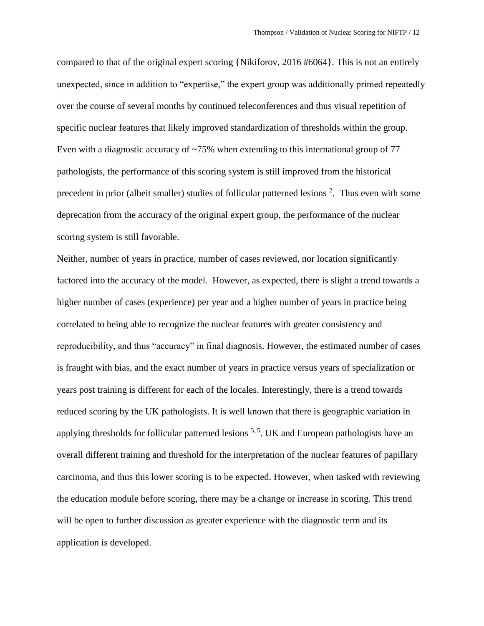compared to that of the original expert scoring {Nikiforov, 2016 #6064}. This is not an entirely unexpected, since in addition to "expertise," the expert group was additionally primed repeatedly over the course of several months by continued teleconferences and thus visual repetition of specific nuclear features that likely improved standardization of thresholds within the group. Even with a diagnostic accuracy of  $\sim$ 75% when extending to this international group of 77 pathologists, the performance of this scoring system is still improved from the historical precedent in prior (albeit smaller) studies of follicular patterned lesions <sup>2</sup>. Thus even with some deprecation from the accuracy of the original expert group, the performance of the nuclear scoring system is still favorable.

Neither, number of years in practice, number of cases reviewed, nor location significantly factored into the accuracy of the model. However, as expected, there is slight a trend towards a higher number of cases (experience) per year and a higher number of years in practice being correlated to being able to recognize the nuclear features with greater consistency and reproducibility, and thus "accuracy" in final diagnosis. However, the estimated number of cases is fraught with bias, and the exact number of years in practice versus years of specialization or years post training is different for each of the locales. Interestingly, there is a trend towards reduced scoring by the UK pathologists. It is well known that there is geographic variation in applying thresholds for follicular patterned lesions  $3.5$ . UK and European pathologists have an overall different training and threshold for the interpretation of the nuclear features of papillary carcinoma, and thus this lower scoring is to be expected. However, when tasked with reviewing the education module before scoring, there may be a change or increase in scoring. This trend will be open to further discussion as greater experience with the diagnostic term and its application is developed.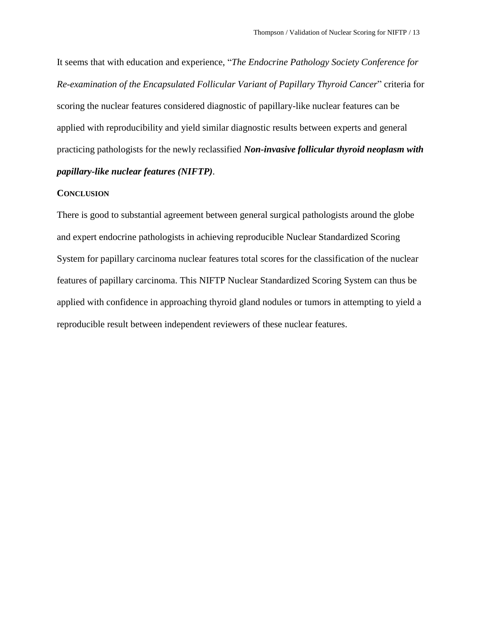It seems that with education and experience, "*The Endocrine Pathology Society Conference for Re-examination of the Encapsulated Follicular Variant of Papillary Thyroid Cancer*" criteria for scoring the nuclear features considered diagnostic of papillary-like nuclear features can be applied with reproducibility and yield similar diagnostic results between experts and general practicing pathologists for the newly reclassified *Non-invasive follicular thyroid neoplasm with papillary-like nuclear features (NIFTP)*.

### **CONCLUSION**

There is good to substantial agreement between general surgical pathologists around the globe and expert endocrine pathologists in achieving reproducible Nuclear Standardized Scoring System for papillary carcinoma nuclear features total scores for the classification of the nuclear features of papillary carcinoma. This NIFTP Nuclear Standardized Scoring System can thus be applied with confidence in approaching thyroid gland nodules or tumors in attempting to yield a reproducible result between independent reviewers of these nuclear features.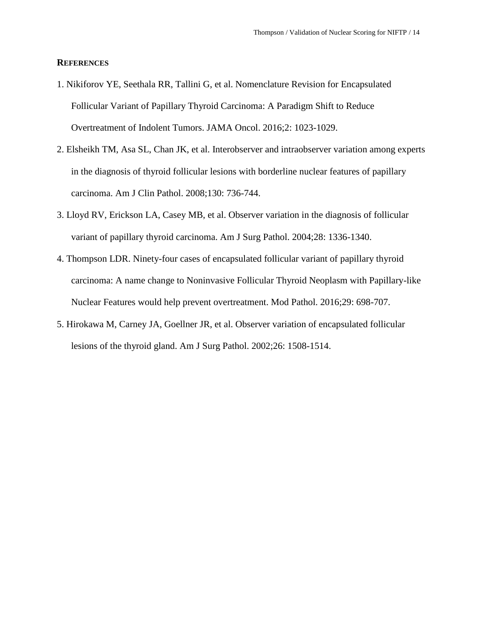### **REFERENCES**

- 1. Nikiforov YE, Seethala RR, Tallini G, et al. Nomenclature Revision for Encapsulated Follicular Variant of Papillary Thyroid Carcinoma: A Paradigm Shift to Reduce Overtreatment of Indolent Tumors. JAMA Oncol. 2016;2: 1023-1029.
- <span id="page-13-0"></span>2. Elsheikh TM, Asa SL, Chan JK, et al. Interobserver and intraobserver variation among experts in the diagnosis of thyroid follicular lesions with borderline nuclear features of papillary carcinoma. Am J Clin Pathol. 2008;130: 736-744.
- <span id="page-13-1"></span>3. Lloyd RV, Erickson LA, Casey MB, et al. Observer variation in the diagnosis of follicular variant of papillary thyroid carcinoma. Am J Surg Pathol. 2004;28: 1336-1340.
- 4. Thompson LDR. Ninety-four cases of encapsulated follicular variant of papillary thyroid carcinoma: A name change to Noninvasive Follicular Thyroid Neoplasm with Papillary-like Nuclear Features would help prevent overtreatment. Mod Pathol. 2016;29: 698-707.
- <span id="page-13-2"></span>5. Hirokawa M, Carney JA, Goellner JR, et al. Observer variation of encapsulated follicular lesions of the thyroid gland. Am J Surg Pathol. 2002;26: 1508-1514.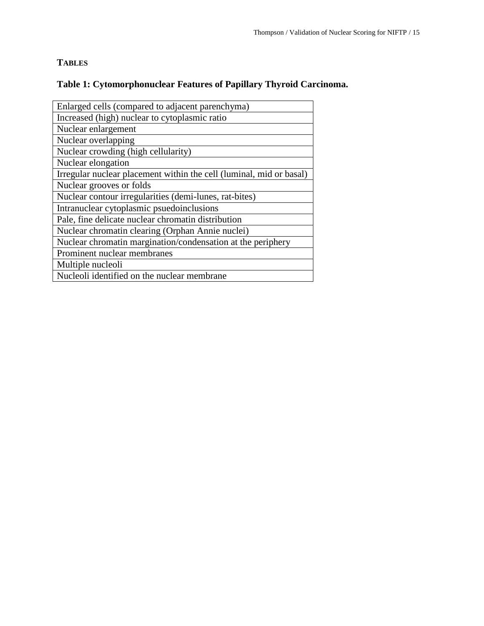## **TABLES**

# **Table 1: Cytomorphonuclear Features of Papillary Thyroid Carcinoma.**

| Enlarged cells (compared to adjacent parenchyma)                    |
|---------------------------------------------------------------------|
| Increased (high) nuclear to cytoplasmic ratio                       |
| Nuclear enlargement                                                 |
| Nuclear overlapping                                                 |
| Nuclear crowding (high cellularity)                                 |
| Nuclear elongation                                                  |
| Irregular nuclear placement within the cell (luminal, mid or basal) |
| Nuclear grooves or folds                                            |
| Nuclear contour irregularities (demi-lunes, rat-bites)              |
| Intranuclear cytoplasmic psuedoinclusions                           |
| Pale, fine delicate nuclear chromatin distribution                  |
| Nuclear chromatin clearing (Orphan Annie nuclei)                    |
| Nuclear chromatin margination/condensation at the periphery         |
| Prominent nuclear membranes                                         |
| Multiple nucleoli                                                   |
| Nucleoli identified on the nuclear membrane                         |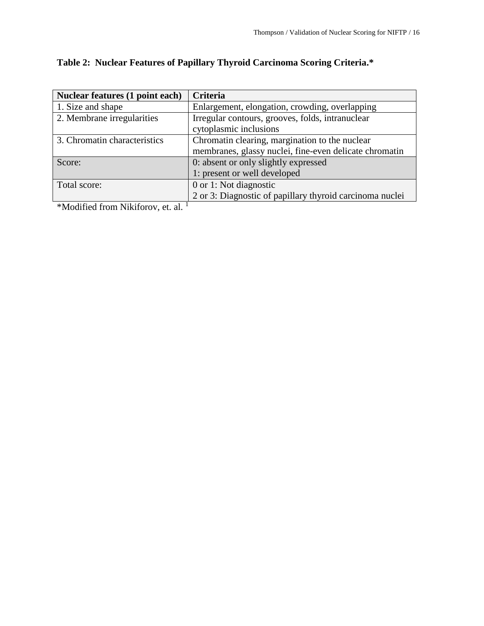| Nuclear features (1 point each)                                                                 | <b>Criteria</b>                                          |  |  |
|-------------------------------------------------------------------------------------------------|----------------------------------------------------------|--|--|
| 1. Size and shape                                                                               | Enlargement, elongation, crowding, overlapping           |  |  |
| 2. Membrane irregularities                                                                      | Irregular contours, grooves, folds, intranuclear         |  |  |
|                                                                                                 | cytoplasmic inclusions                                   |  |  |
| 3. Chromatin characteristics                                                                    | Chromatin clearing, margination to the nuclear           |  |  |
|                                                                                                 | membranes, glassy nuclei, fine-even delicate chromatin   |  |  |
| Score:                                                                                          | 0: absent or only slightly expressed                     |  |  |
|                                                                                                 | 1: present or well developed                             |  |  |
| Total score:                                                                                    | 0 or 1: Not diagnostic                                   |  |  |
|                                                                                                 | 2 or 3: Diagnostic of papillary thyroid carcinoma nuclei |  |  |
| $\mathbf{1}$<br>$\mathbf{r}$ $\mathbf{r}$ $\mathbf{r}$ $\mathbf{r}$<br>$\cdots$<br>$\mathbf{r}$ |                                                          |  |  |

# **Table 2: Nuclear Features of Papillary Thyroid Carcinoma Scoring Criteria.\***

 $*$ Modified from Nikiforov, et. al.  $<sup>1</sup>$ </sup>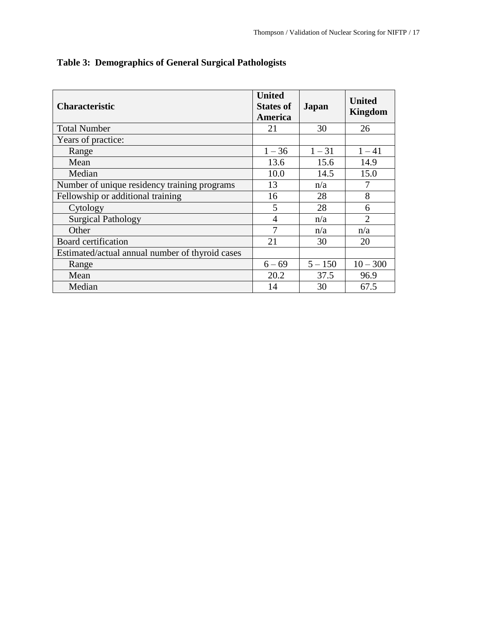| <b>Characteristic</b>                           | <b>United</b><br><b>States of</b><br>America | Japan     | <b>United</b><br><b>Kingdom</b> |
|-------------------------------------------------|----------------------------------------------|-----------|---------------------------------|
| <b>Total Number</b>                             | 21                                           | 30        | 26                              |
| Years of practice:                              |                                              |           |                                 |
| Range                                           | $1 - 36$                                     | $1 - 31$  | $1 - 41$                        |
| Mean                                            | 13.6                                         | 15.6      | 14.9                            |
| Median                                          | 10.0                                         | 14.5      | 15.0                            |
| Number of unique residency training programs    | 13                                           | n/a       | 7                               |
| Fellowship or additional training               | 16                                           | 28        | 8                               |
| Cytology                                        | 5                                            | 28        | 6                               |
| <b>Surgical Pathology</b>                       | $\overline{4}$                               | n/a       | $\overline{2}$                  |
| Other                                           | 7                                            | n/a       | n/a                             |
| Board certification                             | 21                                           | 30        | 20                              |
| Estimated/actual annual number of thyroid cases |                                              |           |                                 |
| Range                                           | $6 - 69$                                     | $5 - 150$ | $10 - 300$                      |
| Mean                                            | 20.2                                         | 37.5      | 96.9                            |
| Median                                          | 14                                           | 30        | 67.5                            |

**Table 3: Demographics of General Surgical Pathologists**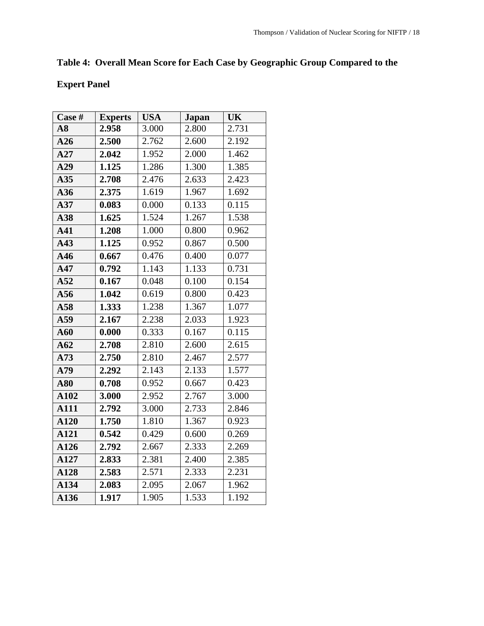# **Table 4: Overall Mean Score for Each Case by Geographic Group Compared to the**

# **Expert Panel**

| Case # | <b>Experts</b> | <b>USA</b> | <b>Japan</b> | UK    |
|--------|----------------|------------|--------------|-------|
| A8     | 2.958          | 3.000      | 2.800        | 2.731 |
| A26    | 2.500          | 2.762      | 2.600        | 2.192 |
| A27    | 2.042          | 1.952      | 2.000        | 1.462 |
| A29    | 1.125          | 1.286      | 1.300        | 1.385 |
| A35    | 2.708          | 2.476      | 2.633        | 2.423 |
| A36    | 2.375          | 1.619      | 1.967        | 1.692 |
| A37    | 0.083          | 0.000      | 0.133        | 0.115 |
| A38    | 1.625          | 1.524      | 1.267        | 1.538 |
| A41    | 1.208          | 1.000      | 0.800        | 0.962 |
| A43    | 1.125          | 0.952      | 0.867        | 0.500 |
| A46    | 0.667          | 0.476      | 0.400        | 0.077 |
| A47    | 0.792          | 1.143      | 1.133        | 0.731 |
| A52    | 0.167          | 0.048      | 0.100        | 0.154 |
| A56    | 1.042          | 0.619      | 0.800        | 0.423 |
| A58    | 1.333          | 1.238      | 1.367        | 1.077 |
| A59    | 2.167          | 2.238      | 2.033        | 1.923 |
| A60    | 0.000          | 0.333      | 0.167        | 0.115 |
| A62    | 2.708          | 2.810      | 2.600        | 2.615 |
| A73    | 2.750          | 2.810      | 2.467        | 2.577 |
| A79    | 2.292          | 2.143      | 2.133        | 1.577 |
| A80    | 0.708          | 0.952      | 0.667        | 0.423 |
| A102   | 3.000          | 2.952      | 2.767        | 3.000 |
| A111   | 2.792          | 3.000      | 2.733        | 2.846 |
| A120   | 1.750          | 1.810      | 1.367        | 0.923 |
| A121   | 0.542          | 0.429      | 0.600        | 0.269 |
| A126   | 2.792          | 2.667      | 2.333        | 2.269 |
| A127   | 2.833          | 2.381      | 2.400        | 2.385 |
| A128   | 2.583          | 2.571      | 2.333        | 2.231 |
| A134   | 2.083          | 2.095      | 2.067        | 1.962 |
| A136   | 1.917          | 1.905      | 1.533        | 1.192 |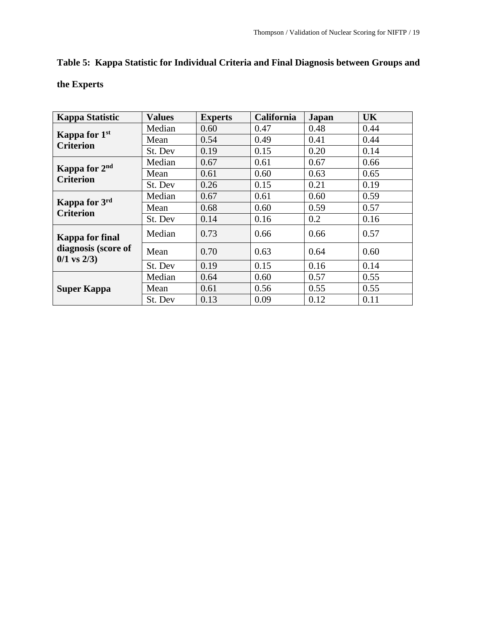# **Table 5: Kappa Statistic for Individual Criteria and Final Diagnosis between Groups and**

**the Experts**

| <b>Kappa Statistic</b>                                            | <b>Values</b> | <b>Experts</b> | <b>California</b> | Japan | UK   |
|-------------------------------------------------------------------|---------------|----------------|-------------------|-------|------|
| Kappa for 1 <sup>st</sup><br><b>Criterion</b>                     | Median        | 0.60           | 0.47              | 0.48  | 0.44 |
|                                                                   | Mean          | 0.54           | 0.49              | 0.41  | 0.44 |
|                                                                   | St. Dev       | 0.19           | 0.15              | 0.20  | 0.14 |
| Kappa for 2 <sup>nd</sup><br><b>Criterion</b>                     | Median        | 0.67           | 0.61              | 0.67  | 0.66 |
|                                                                   | Mean          | 0.61           | 0.60              | 0.63  | 0.65 |
|                                                                   | St. Dev       | 0.26           | 0.15              | 0.21  | 0.19 |
| Kappa for 3rd<br><b>Criterion</b>                                 | Median        | 0.67           | 0.61              | 0.60  | 0.59 |
|                                                                   | Mean          | 0.68           | 0.60              | 0.59  | 0.57 |
|                                                                   | St. Dev       | 0.14           | 0.16              | 0.2   | 0.16 |
| <b>Kappa for final</b><br>diagnosis (score of<br>$0/1$ vs $2/3$ ) | Median        | 0.73           | 0.66              | 0.66  | 0.57 |
|                                                                   | Mean          | 0.70           | 0.63              | 0.64  | 0.60 |
|                                                                   | St. Dev       | 0.19           | 0.15              | 0.16  | 0.14 |
| <b>Super Kappa</b>                                                | Median        | 0.64           | 0.60              | 0.57  | 0.55 |
|                                                                   | Mean          | 0.61           | 0.56              | 0.55  | 0.55 |
|                                                                   | St. Dev       | 0.13           | 0.09              | 0.12  | 0.11 |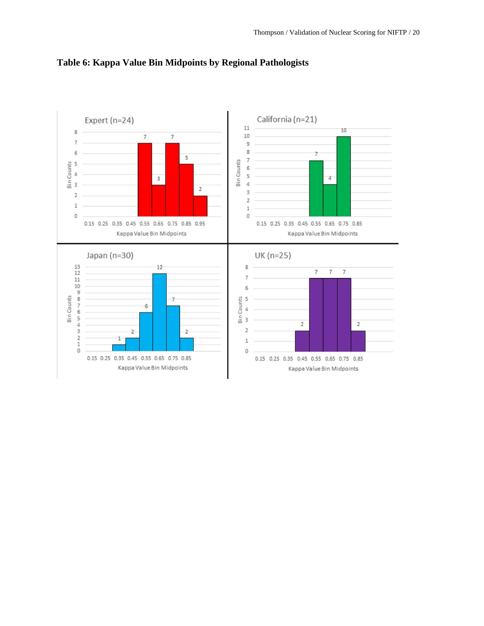

### **Table 6: Kappa Value Bin Midpoints by Regional Pathologists**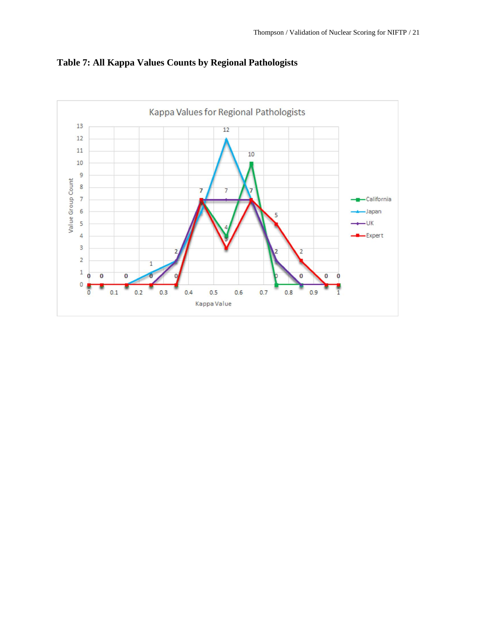

**Table 7: All Kappa Values Counts by Regional Pathologists**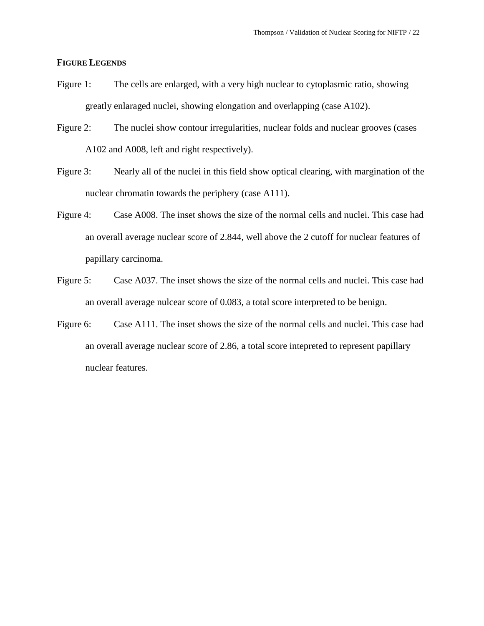### **FIGURE LEGENDS**

- Figure 1: The cells are enlarged, with a very high nuclear to cytoplasmic ratio, showing greatly enlaraged nuclei, showing elongation and overlapping (case A102).
- Figure 2: The nuclei show contour irregularities, nuclear folds and nuclear grooves (cases A102 and A008, left and right respectively).
- Figure 3: Nearly all of the nuclei in this field show optical clearing, with margination of the nuclear chromatin towards the periphery (case A111).
- Figure 4: Case A008. The inset shows the size of the normal cells and nuclei. This case had an overall average nuclear score of 2.844, well above the 2 cutoff for nuclear features of papillary carcinoma.
- Figure 5: Case A037. The inset shows the size of the normal cells and nuclei. This case had an overall average nulcear score of 0.083, a total score interpreted to be benign.
- Figure 6: Case A111. The inset shows the size of the normal cells and nuclei. This case had an overall average nuclear score of 2.86, a total score intepreted to represent papillary nuclear features.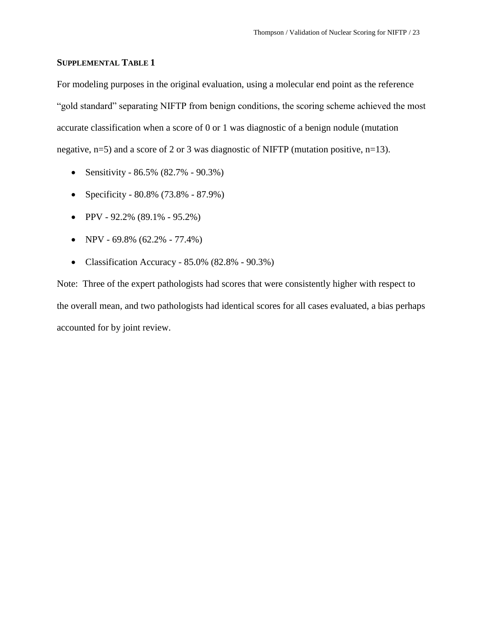### **SUPPLEMENTAL TABLE 1**

For modeling purposes in the original evaluation, using a molecular end point as the reference "gold standard" separating NIFTP from benign conditions, the scoring scheme achieved the most accurate classification when a score of 0 or 1 was diagnostic of a benign nodule (mutation negative, n=5) and a score of 2 or 3 was diagnostic of NIFTP (mutation positive, n=13).

- Sensitivity  $86.5\%$   $(82.7\% 90.3\%)$
- Specificity 80.8% (73.8% 87.9%)
- $\bullet$  PPV 92.2% (89.1% 95.2%)
- NPV 69.8% (62.2% 77.4%)
- Classification Accuracy  $85.0\%$   $(82.8\% 90.3\%)$

Note: Three of the expert pathologists had scores that were consistently higher with respect to the overall mean, and two pathologists had identical scores for all cases evaluated, a bias perhaps accounted for by joint review.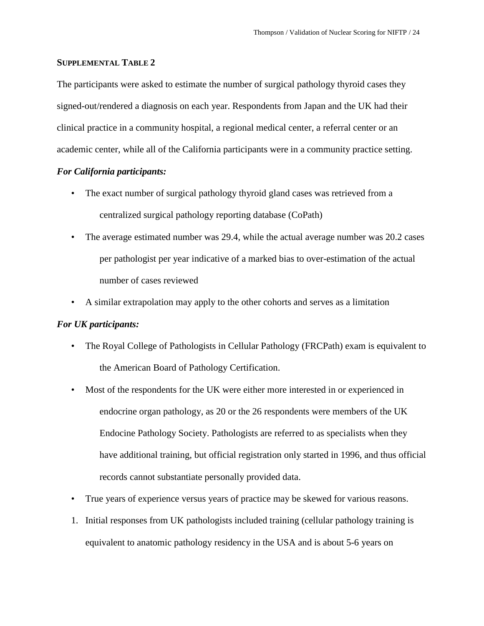### **SUPPLEMENTAL TABLE 2**

The participants were asked to estimate the number of surgical pathology thyroid cases they signed-out/rendered a diagnosis on each year. Respondents from Japan and the UK had their clinical practice in a community hospital, a regional medical center, a referral center or an academic center, while all of the California participants were in a community practice setting.

### *For California participants:*

- The exact number of surgical pathology thyroid gland cases was retrieved from a centralized surgical pathology reporting database (CoPath)
- The average estimated number was 29.4, while the actual average number was 20.2 cases per pathologist per year indicative of a marked bias to over-estimation of the actual number of cases reviewed
- A similar extrapolation may apply to the other cohorts and serves as a limitation

### *For UK participants:*

- The Royal College of Pathologists in Cellular Pathology (FRCPath) exam is equivalent to the American Board of Pathology Certification.
- Most of the respondents for the UK were either more interested in or experienced in endocrine organ pathology, as 20 or the 26 respondents were members of the UK Endocine Pathology Society. Pathologists are referred to as specialists when they have additional training, but official registration only started in 1996, and thus official records cannot substantiate personally provided data.
- True years of experience versus years of practice may be skewed for various reasons.
- 1. Initial responses from UK pathologists included training (cellular pathology training is equivalent to anatomic pathology residency in the USA and is about 5-6 years on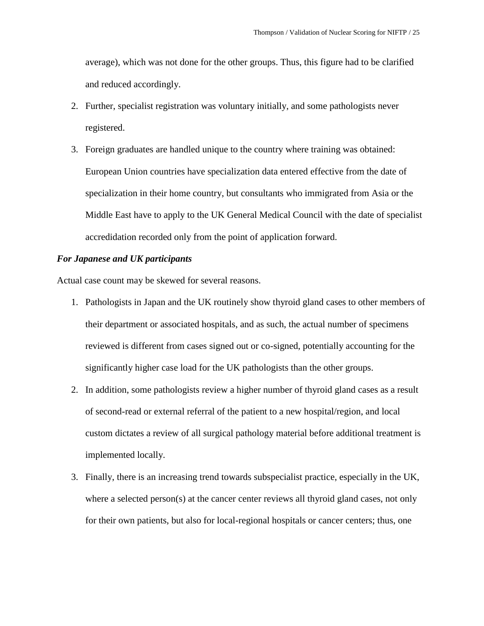average), which was not done for the other groups. Thus, this figure had to be clarified and reduced accordingly.

- 2. Further, specialist registration was voluntary initially, and some pathologists never registered.
- 3. Foreign graduates are handled unique to the country where training was obtained: European Union countries have specialization data entered effective from the date of specialization in their home country, but consultants who immigrated from Asia or the Middle East have to apply to the UK General Medical Council with the date of specialist accredidation recorded only from the point of application forward.

### *For Japanese and UK participants*

Actual case count may be skewed for several reasons.

- 1. Pathologists in Japan and the UK routinely show thyroid gland cases to other members of their department or associated hospitals, and as such, the actual number of specimens reviewed is different from cases signed out or co-signed, potentially accounting for the significantly higher case load for the UK pathologists than the other groups.
- 2. In addition, some pathologists review a higher number of thyroid gland cases as a result of second-read or external referral of the patient to a new hospital/region, and local custom dictates a review of all surgical pathology material before additional treatment is implemented locally.
- 3. Finally, there is an increasing trend towards subspecialist practice, especially in the UK, where a selected person(s) at the cancer center reviews all thyroid gland cases, not only for their own patients, but also for local-regional hospitals or cancer centers; thus, one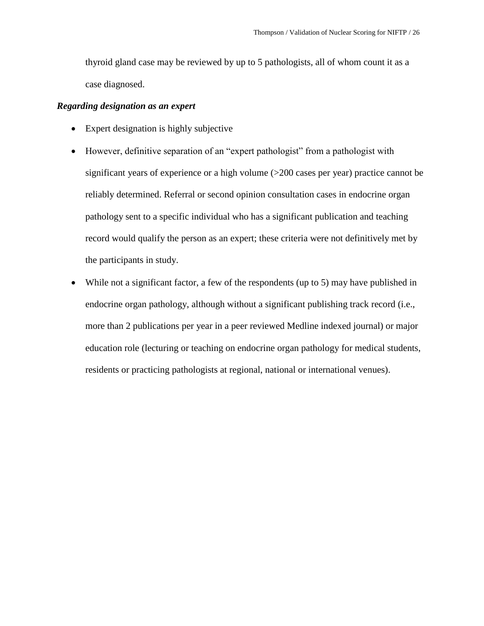thyroid gland case may be reviewed by up to 5 pathologists, all of whom count it as a case diagnosed.

### *Regarding designation as an expert*

- Expert designation is highly subjective
- However, definitive separation of an "expert pathologist" from a pathologist with significant years of experience or a high volume (>200 cases per year) practice cannot be reliably determined. Referral or second opinion consultation cases in endocrine organ pathology sent to a specific individual who has a significant publication and teaching record would qualify the person as an expert; these criteria were not definitively met by the participants in study.
- While not a significant factor, a few of the respondents (up to 5) may have published in endocrine organ pathology, although without a significant publishing track record (i.e., more than 2 publications per year in a peer reviewed Medline indexed journal) or major education role (lecturing or teaching on endocrine organ pathology for medical students, residents or practicing pathologists at regional, national or international venues).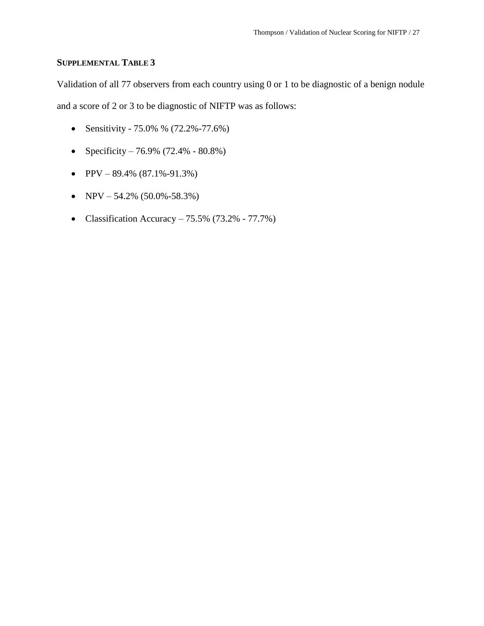### **SUPPLEMENTAL TABLE 3**

Validation of all 77 observers from each country using 0 or 1 to be diagnostic of a benign nodule and a score of 2 or 3 to be diagnostic of NIFTP was as follows:

- Sensitivity 75.0% % (72.2%-77.6%)
- Specificity 76.9% (72.4% 80.8%)
- PPV  $89.4\%$  (87.1%-91.3%)
- NPV 54.2% (50.0%-58.3%)
- Classification Accuracy  $75.5\%$  (73.2%  $77.7\%$ )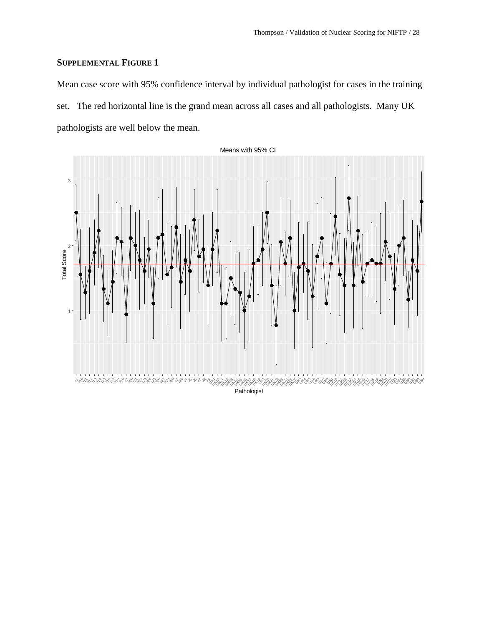### **SUPPLEMENTAL FIGURE 1**

Mean case score with 95% confidence interval by individual pathologist for cases in the training set. The red horizontal line is the grand mean across all cases and all pathologists. Many UK pathologists are well below the mean.